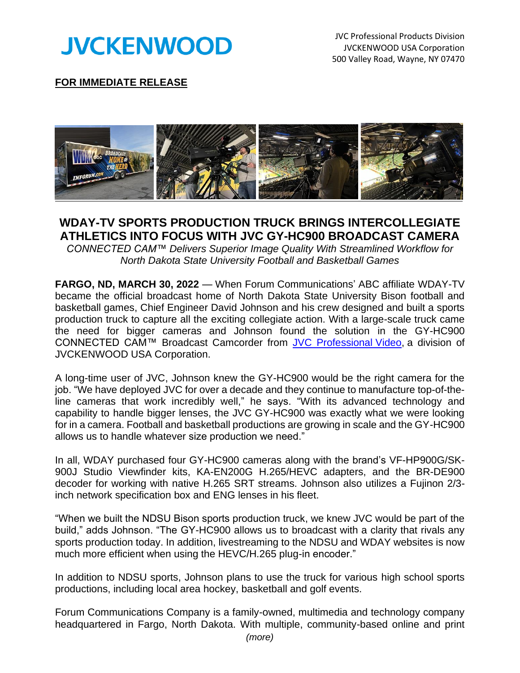

JVC Professional Products Division JVCKENWOOD USA Corporation 500 Valley Road, Wayne, NY 07470



## **WDAY-TV SPORTS PRODUCTION TRUCK BRINGS INTERCOLLEGIATE ATHLETICS INTO FOCUS WITH JVC GY-HC900 BROADCAST CAMERA**

*CONNECTED CAM™ Delivers Superior Image Quality With Streamlined Workflow for North Dakota State University Football and Basketball Games*

**FARGO, ND, MARCH 30, 2022** — When Forum Communications' ABC affiliate WDAY-TV became the official broadcast home of North Dakota State University Bison football and basketball games, Chief Engineer David Johnson and his crew designed and built a sports production truck to capture all the exciting collegiate action. With a large-scale truck came the need for bigger cameras and Johnson found the solution in the GY-HC900 CONNECTED CAM™ Broadcast Camcorder from JVC [Professional](http://pro.jvc.com/prof/main.jsp) Video, a division of JVCKENWOOD USA Corporation.

A long-time user of JVC, Johnson knew the GY-HC900 would be the right camera for the job. "We have deployed JVC for over a decade and they continue to manufacture top-of-theline cameras that work incredibly well," he says. "With its advanced technology and capability to handle bigger lenses, the JVC GY-HC900 was exactly what we were looking for in a camera. Football and basketball productions are growing in scale and the GY-HC900 allows us to handle whatever size production we need."

In all, WDAY purchased four GY-HC900 cameras along with the brand's VF-HP900G/SK-900J Studio Viewfinder kits, KA-EN200G H.265/HEVC adapters, and the BR-DE900 decoder for working with native H.265 SRT streams. Johnson also utilizes a Fujinon 2/3 inch network specification box and ENG lenses in his fleet.

"When we built the NDSU Bison sports production truck, we knew JVC would be part of the build," adds Johnson. "The GY-HC900 allows us to broadcast with a clarity that rivals any sports production today. In addition, livestreaming to the NDSU and WDAY websites is now much more efficient when using the HEVC/H.265 plug-in encoder."

In addition to NDSU sports, Johnson plans to use the truck for various high school sports productions, including local area hockey, basketball and golf events.

Forum Communications Company is a family-owned, multimedia and technology company headquartered in Fargo, North Dakota. With multiple, community-based online and print